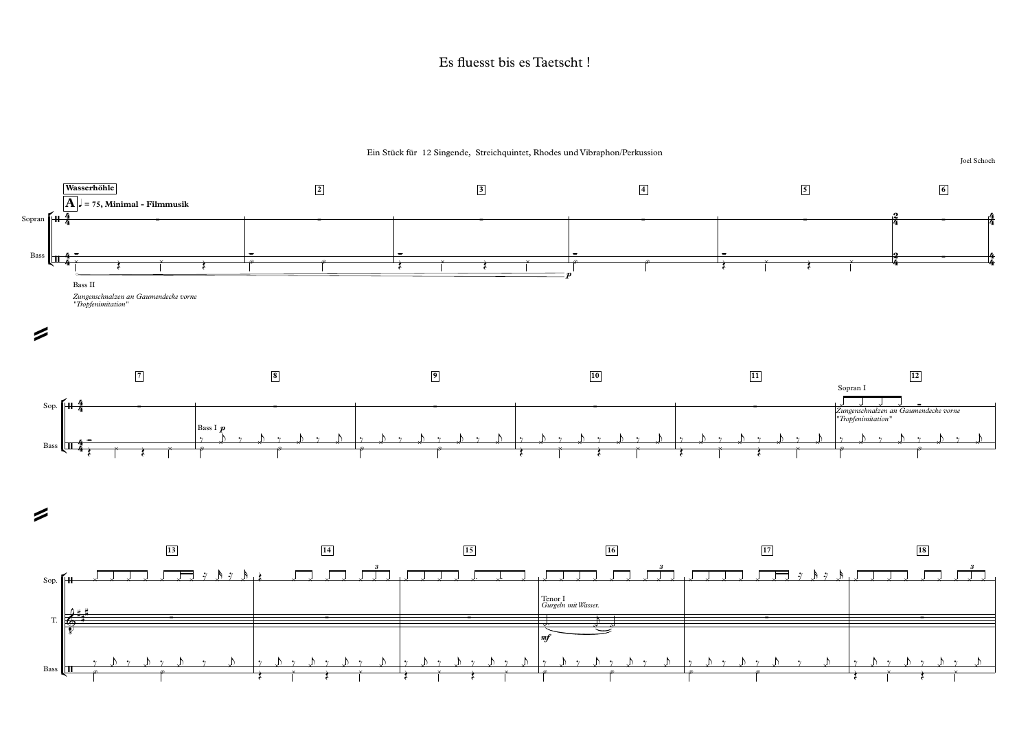# Es fluesst bis es Taetscht!



### Ein Stück für 12 Singende, Streichquintet, Rhodes und Vibraphon/Perkussion

Joel Schoch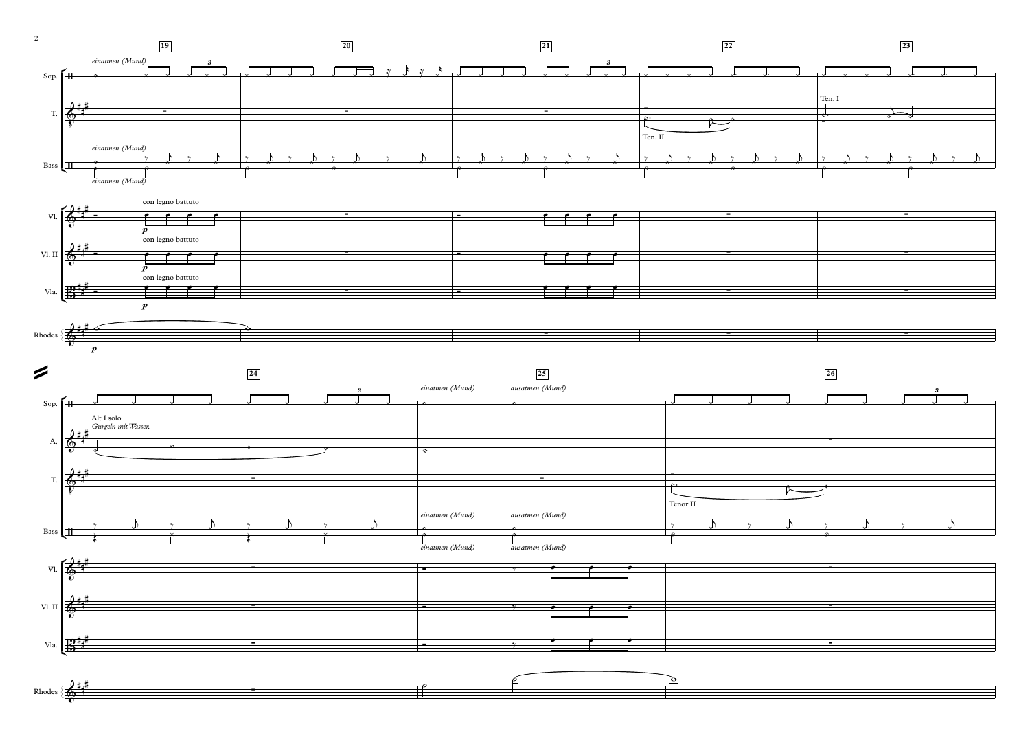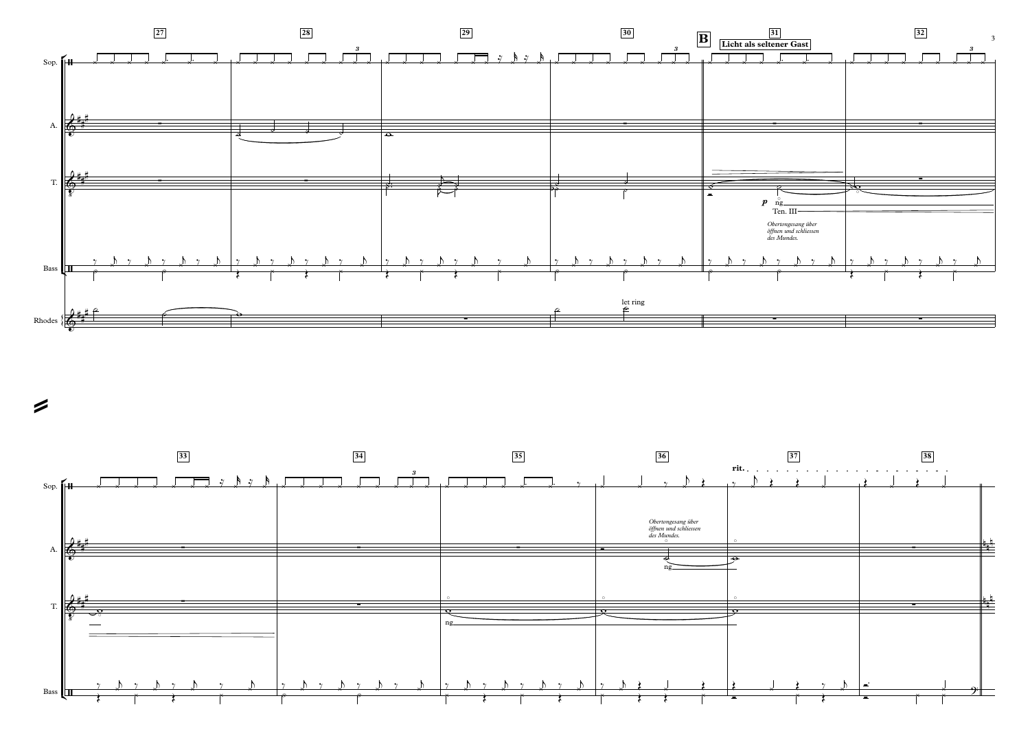



 $\frac{1}{2}$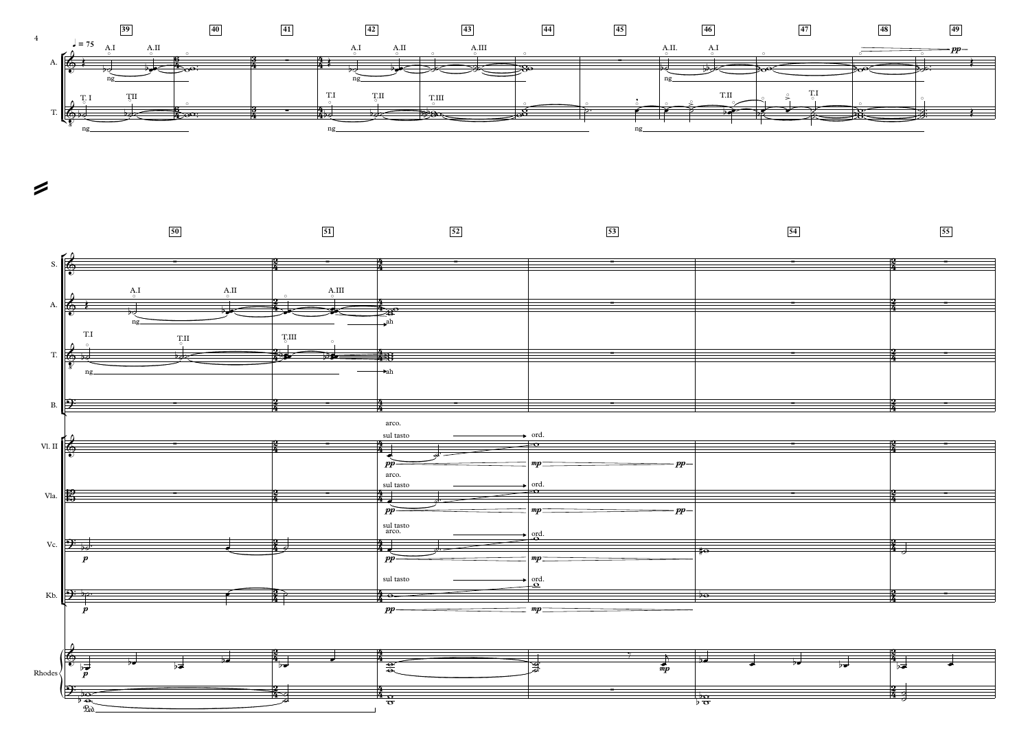

 $\frac{1}{2}$ 

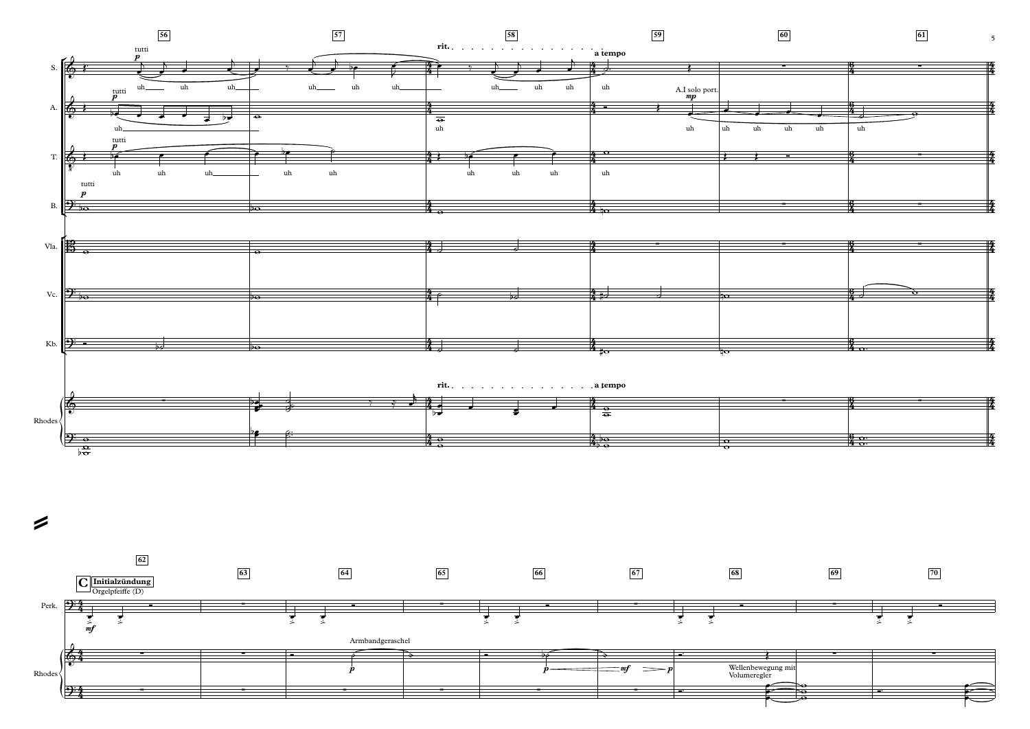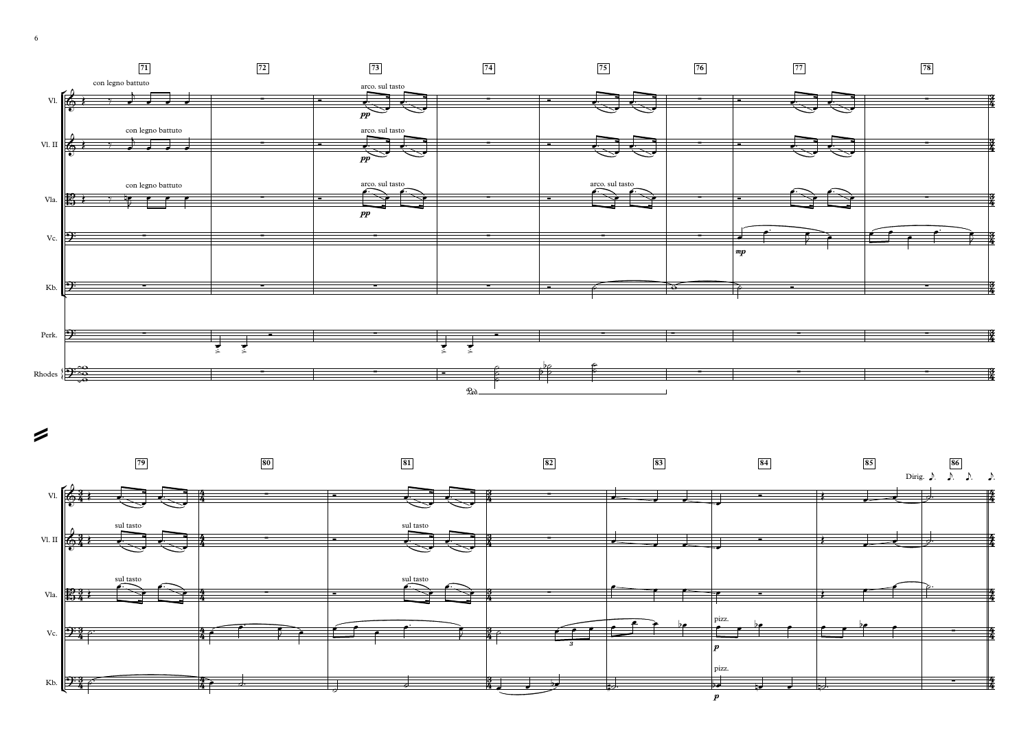

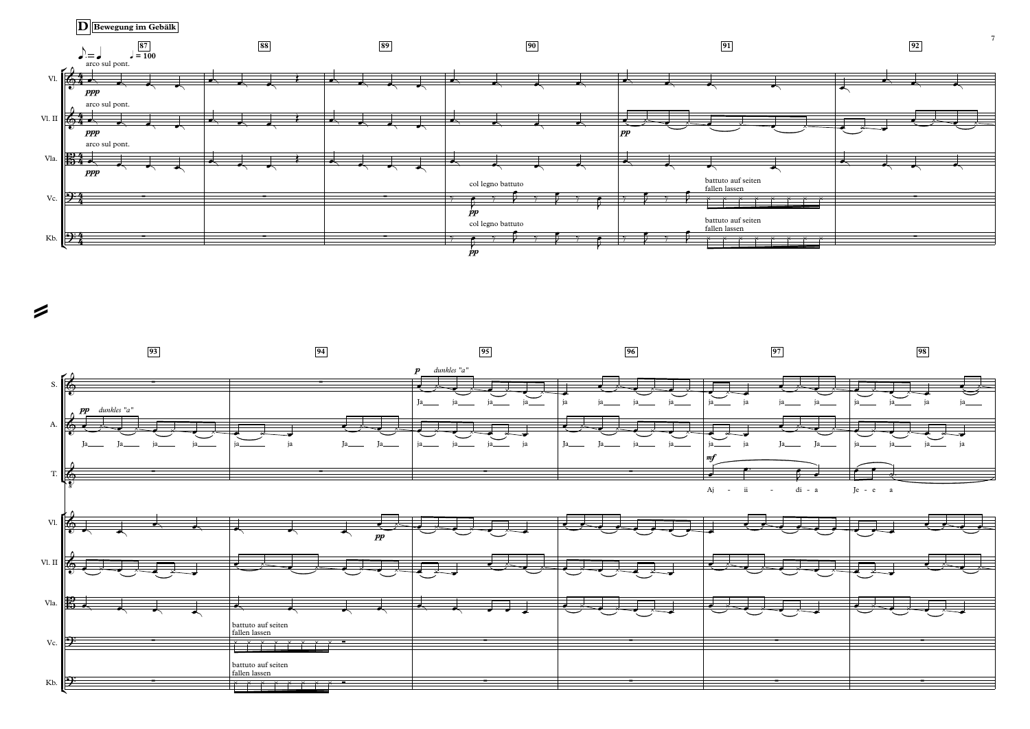



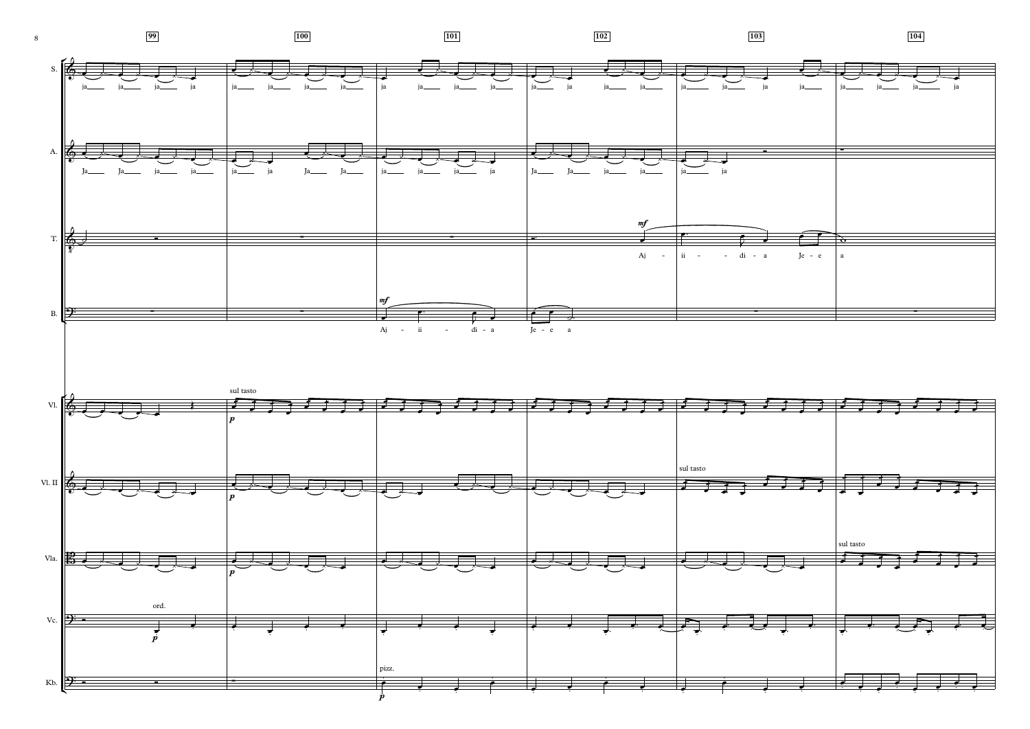

 $\boxed{104}$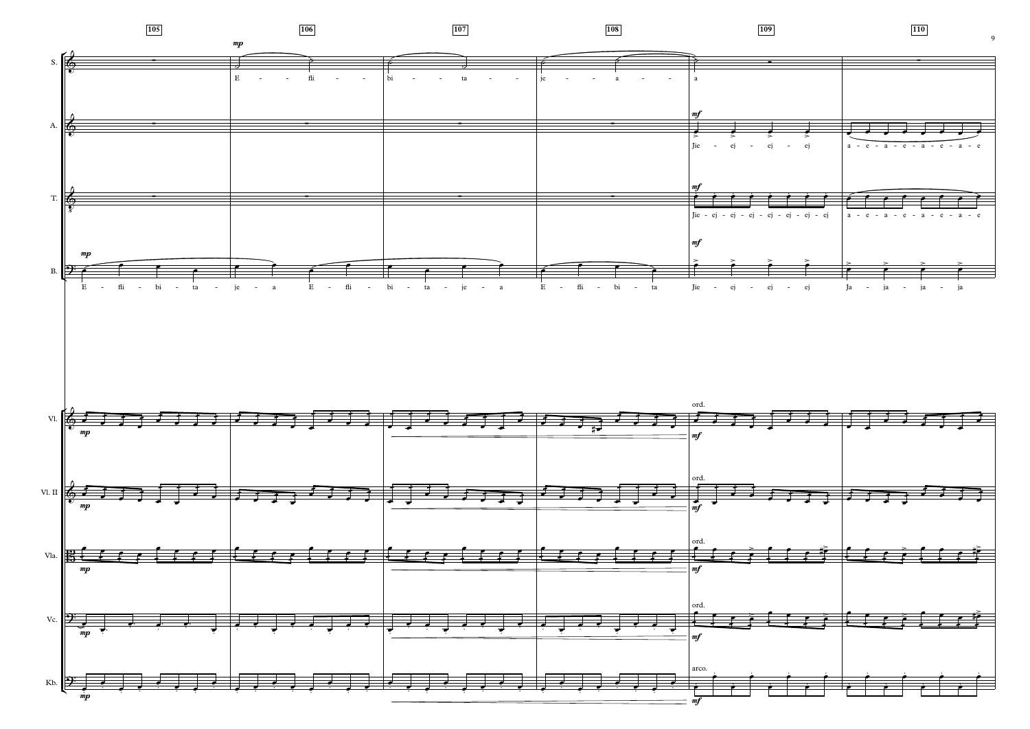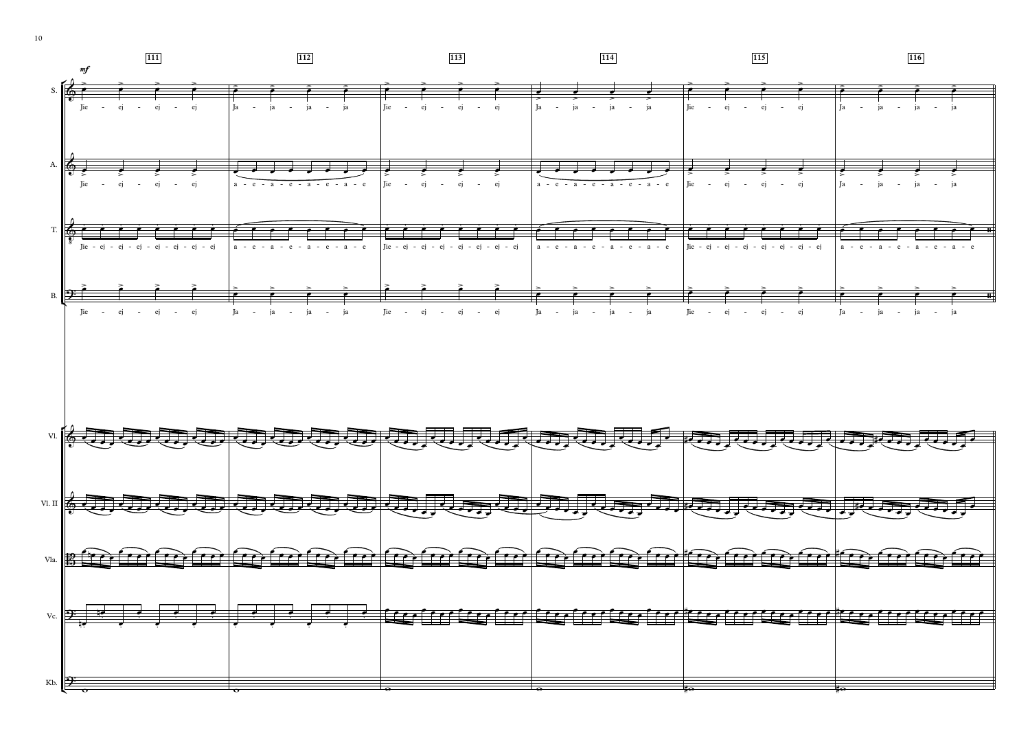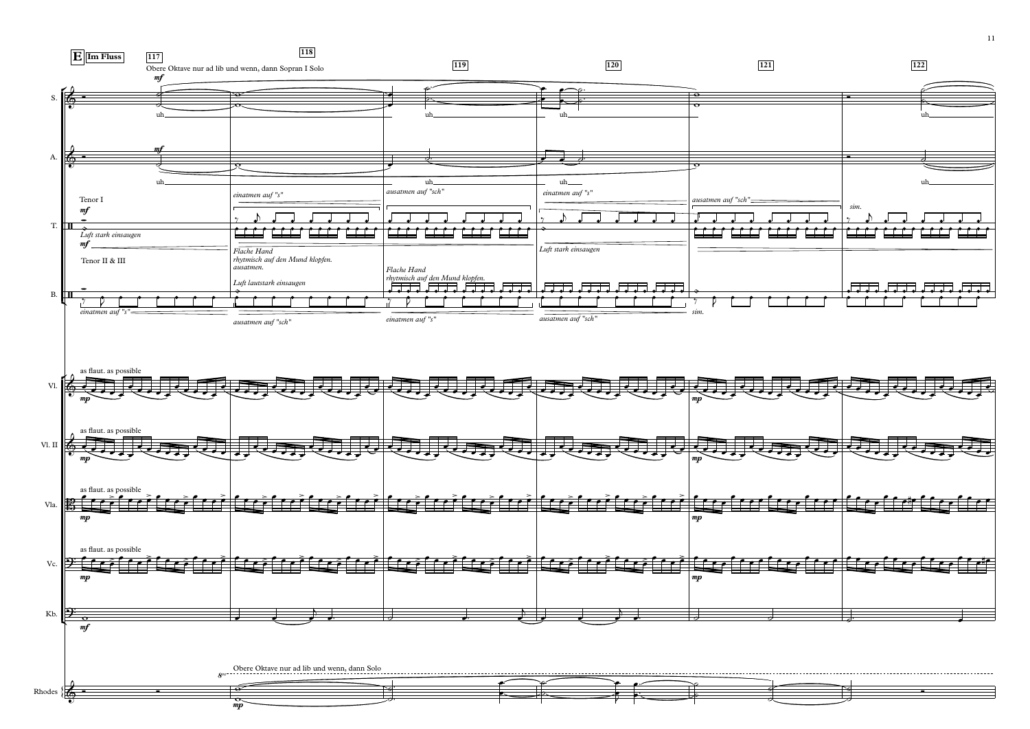

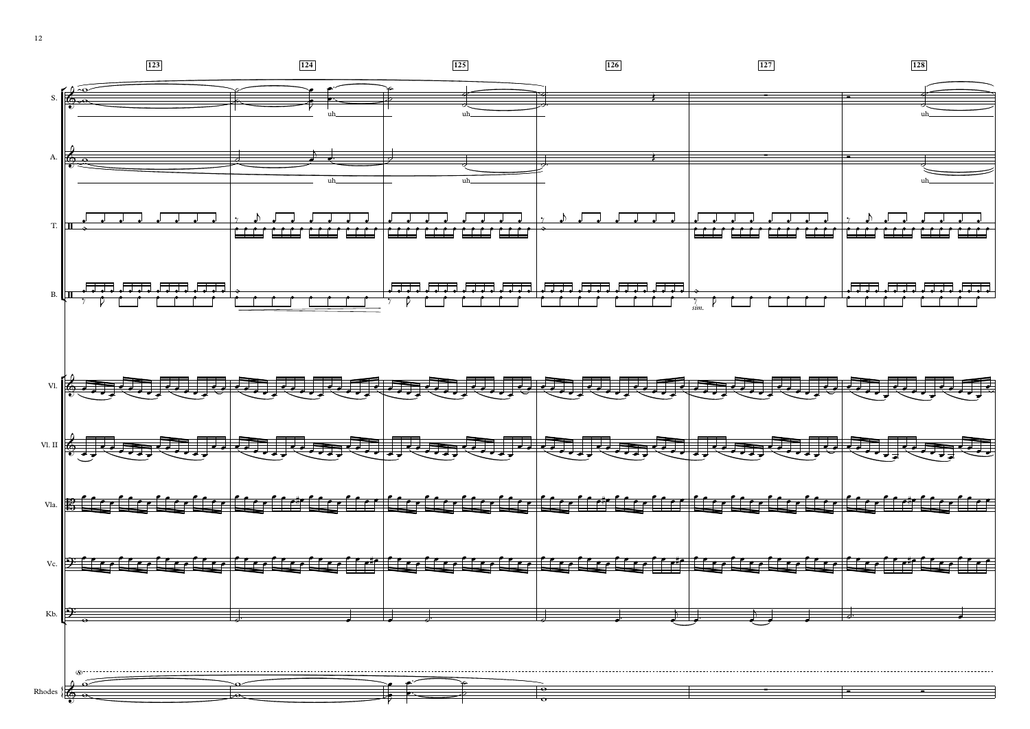



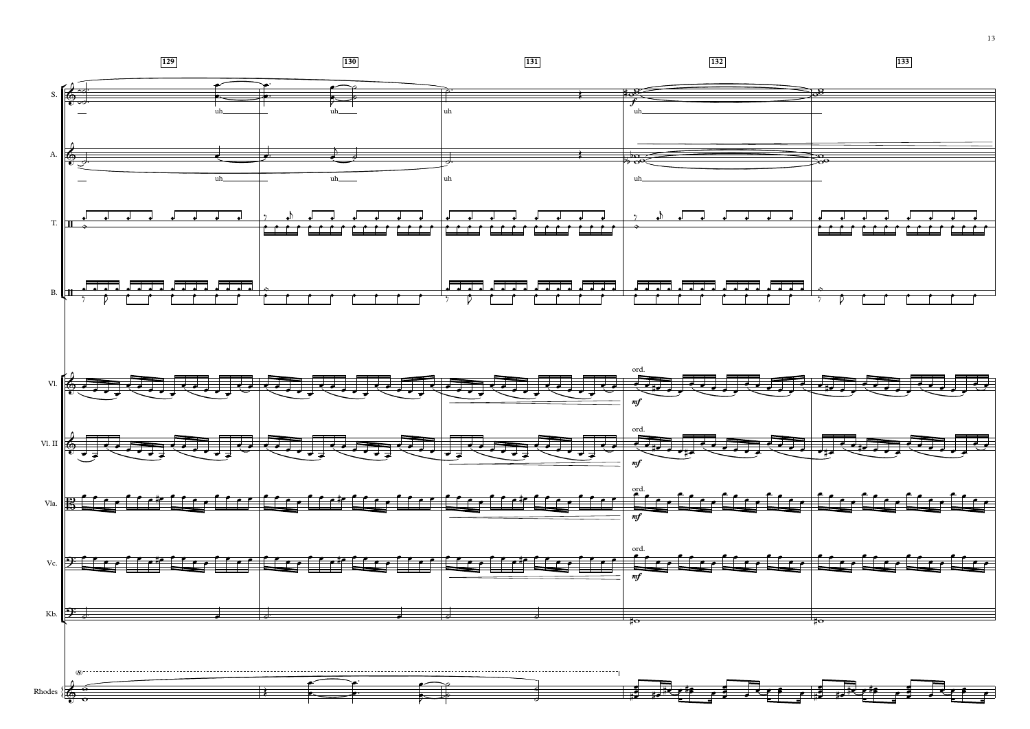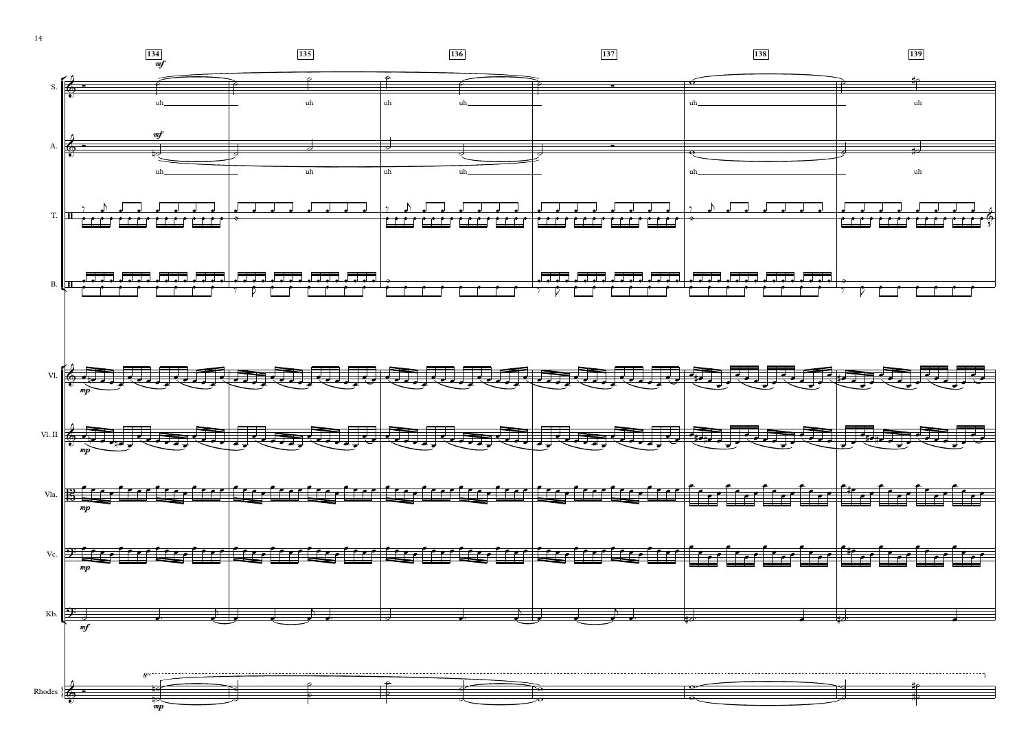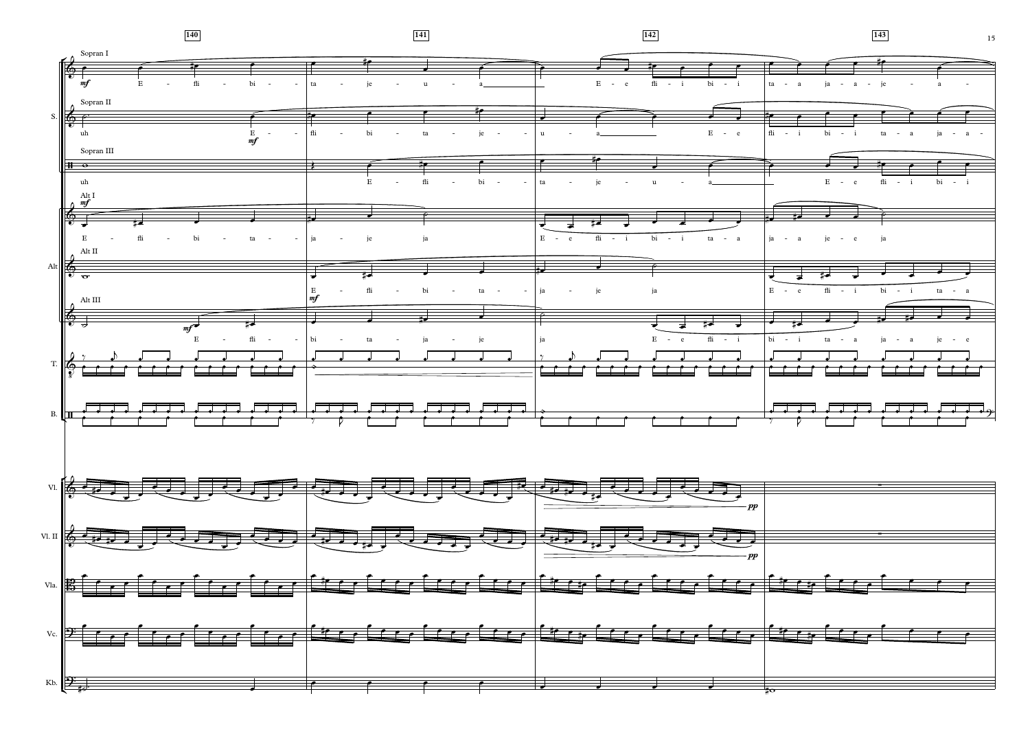

##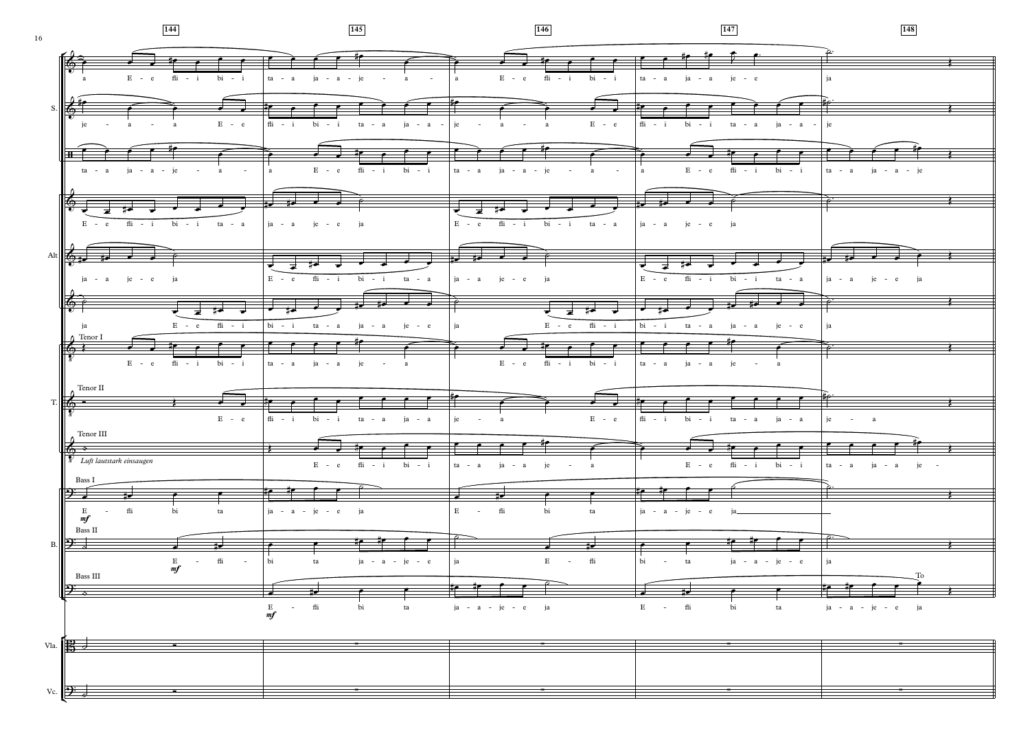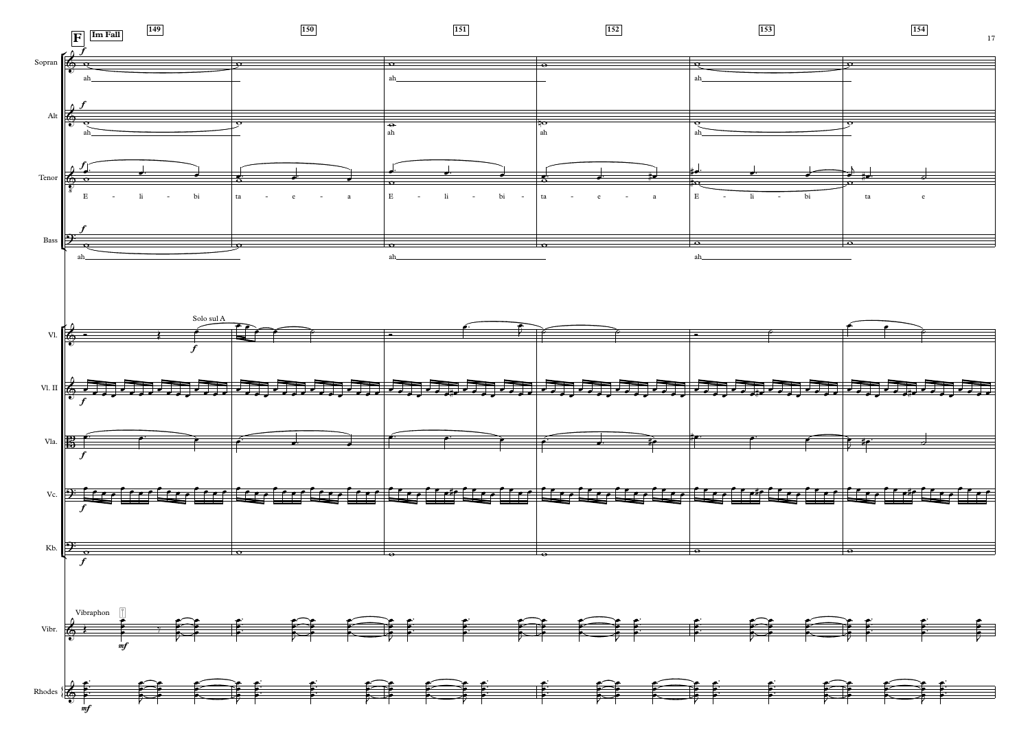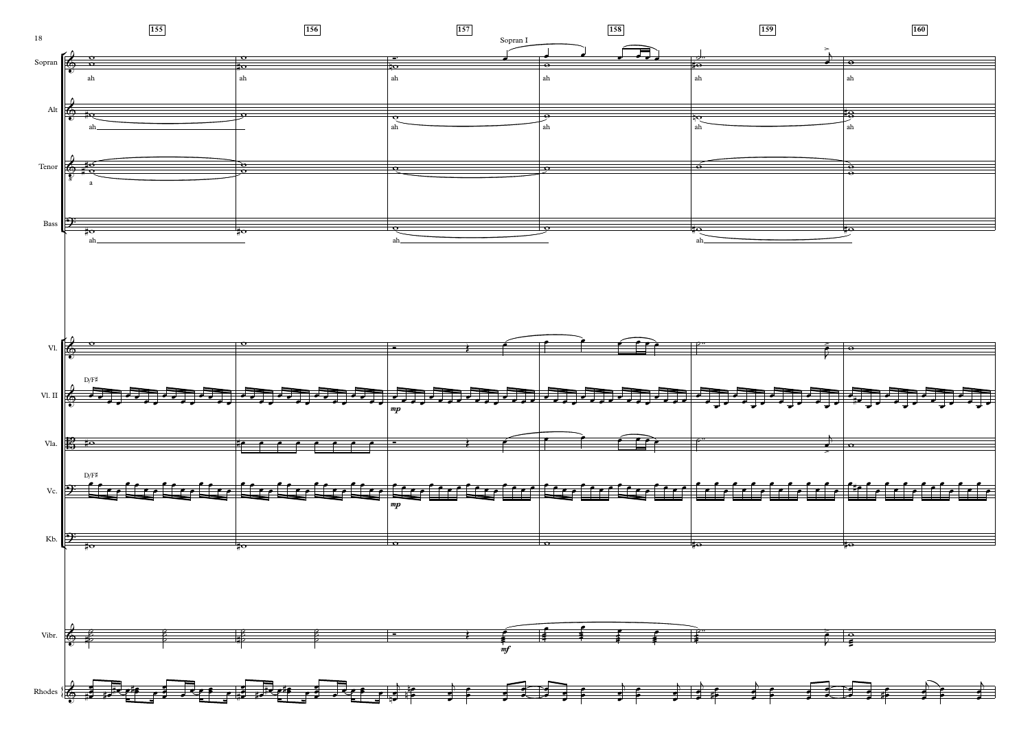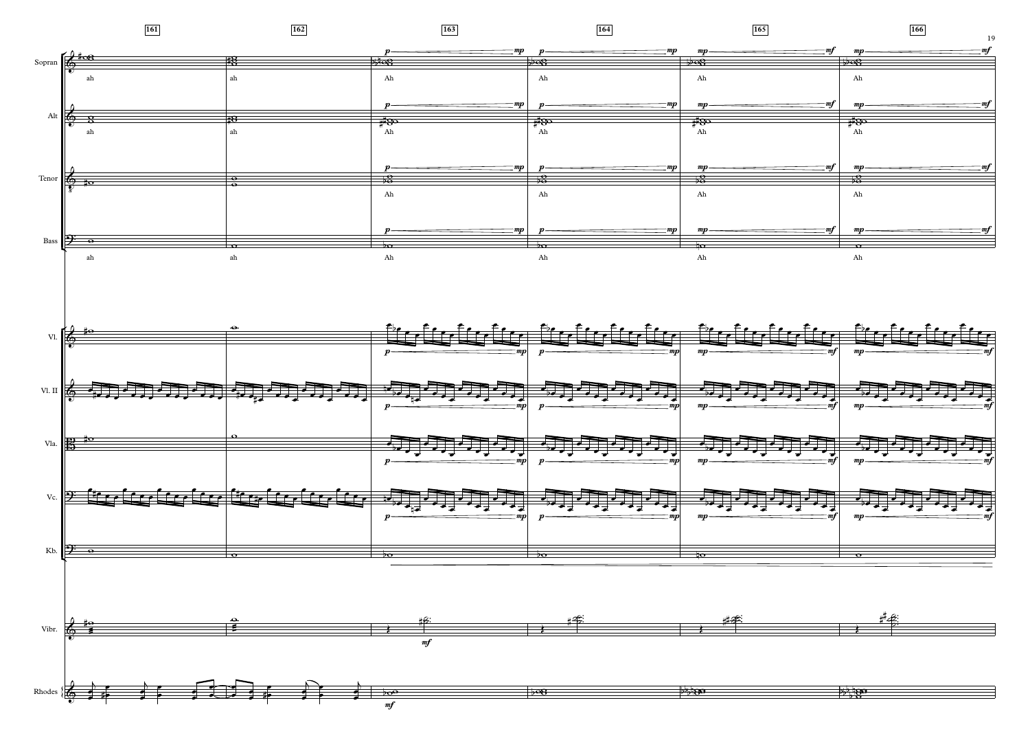Ah







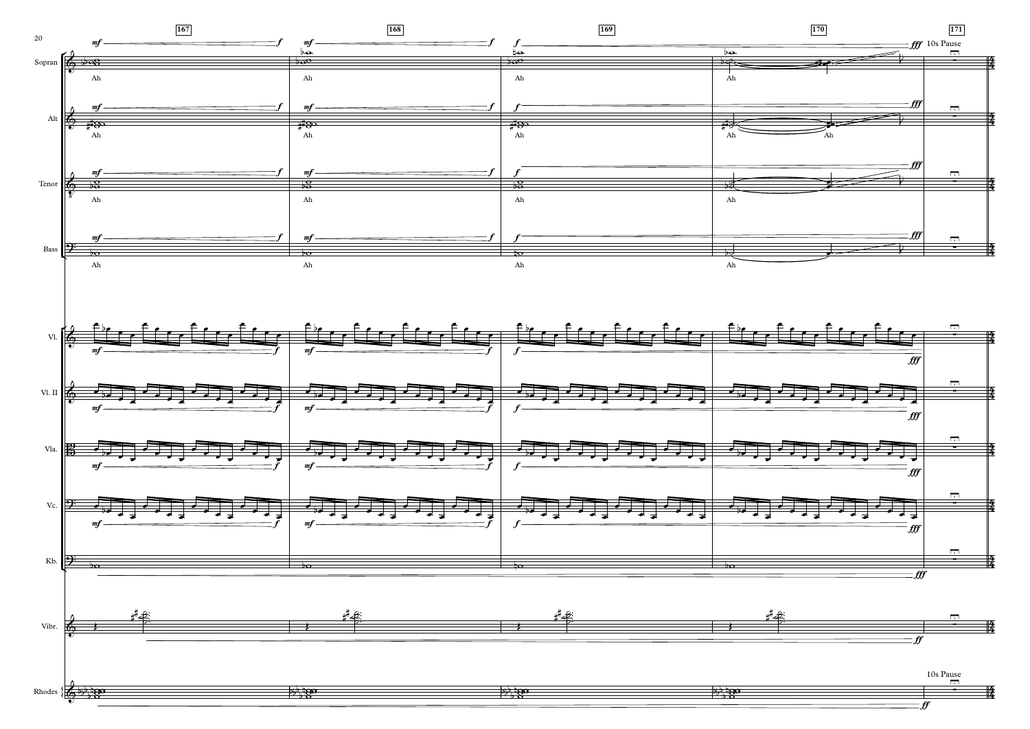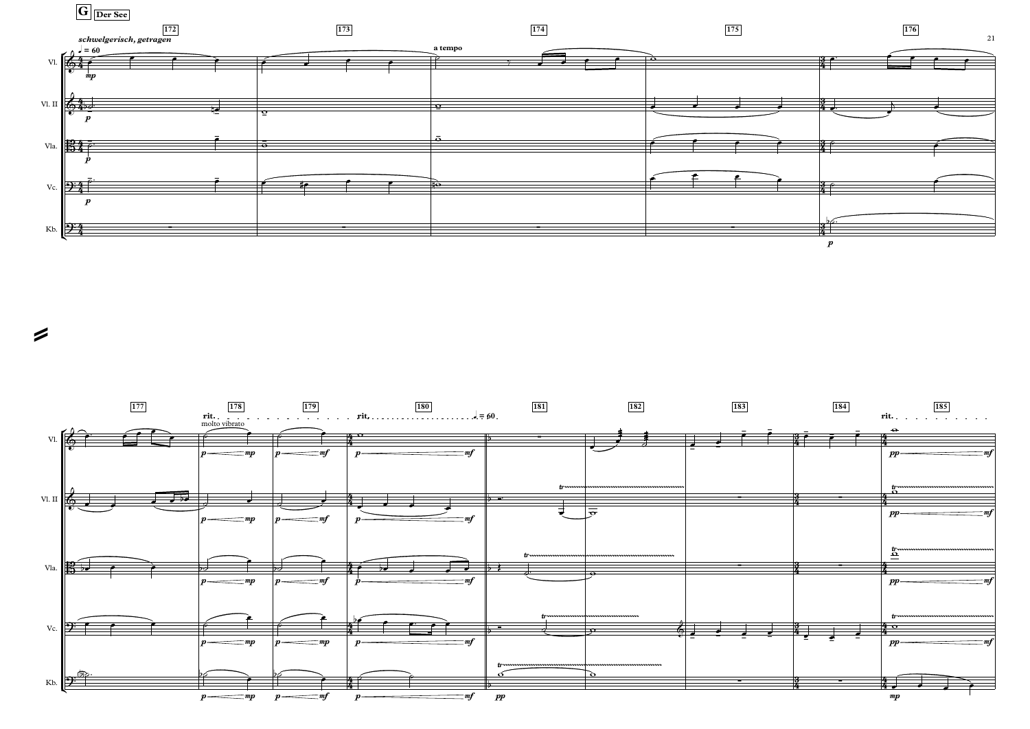





=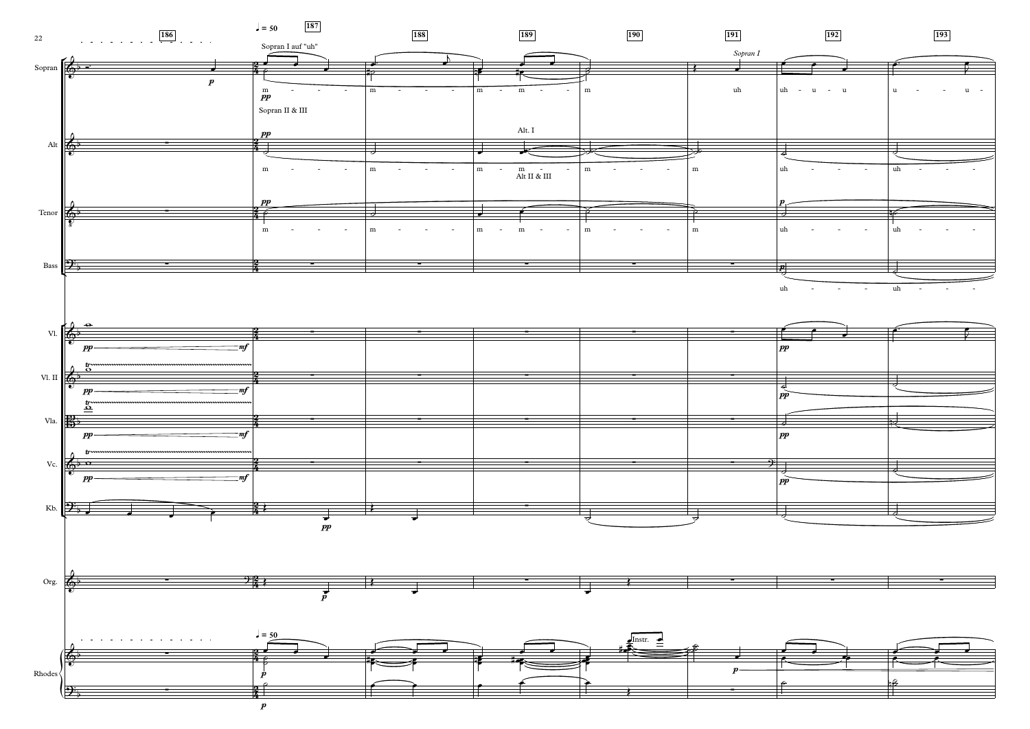